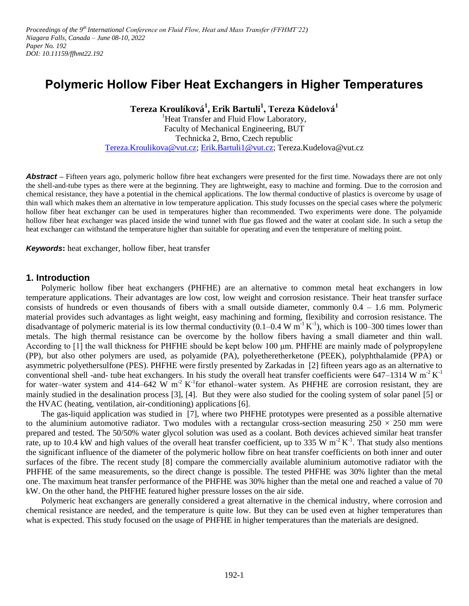Proceedings of the 9<sup>th</sup> International Conference on Fluid Flow, Heat and Mass Transfer (FFHMT'22) *Niagara Falls, Canada – June 08-10, 2022 Paper No. 192 DOI: 10.11159/ffhmt22.192*

# **Polymeric Hollow Fiber Heat Exchangers in Higher Temperatures**

**Tereza Kroulíková<sup>1</sup> , Erik Bartuli<sup>1</sup> , Tereza Kůdelová<sup>1</sup>**

<sup>1</sup>Heat Transfer and Fluid Flow Laboratory, Faculty of Mechanical Engineering, BUT Technicka 2, Brno, Czech republic [Tereza.Kroulikova@vut.cz;](mailto:Tereza.Kroulikova@vut.cz) [Erik.Bartuli1@vut.cz;](mailto:Erik.Bartuli1@vut.cz) Tereza.Kudelova@vut.cz

**Abstract** – Fifteen years ago, polymeric hollow fibre heat exchangers were presented for the first time. Nowadays there are not only the shell-and-tube types as there were at the beginning. They are lightweight, easy to machine and forming. Due to the corrosion and chemical resistance, they have a potential in the chemical applications. The low thermal conductive of plastics is overcome by usage of thin wall which makes them an alternative in low temperature application. This study focusses on the special cases where the polymeric hollow fiber heat exchanger can be used in temperatures higher than recommended. Two experiments were done. The polyamide hollow fiber heat exchanger was placed inside the wind tunnel with flue gas flowed and the water at coolant side. In such a setup the heat exchanger can withstand the temperature higher than suitable for operating and even the temperature of melting point.

*Keywords***:** heat exchanger, hollow fiber, heat transfer

#### **1. Introduction**

Polymeric hollow fiber heat exchangers (PHFHE) are an alternative to common metal heat exchangers in low temperature applications. Their advantages are low cost, low weight and corrosion resistance. Their heat transfer surface consists of hundreds or even thousands of fibers with a small outside diameter, commonly 0.4 – 1.6 mm. Polymeric material provides such advantages as light weight, easy machining and forming, flexibility and corrosion resistance. The disadvantage of polymeric material is its low thermal conductivity  $(0.1-0.4 \text{ W m}^{-1} \text{K}^{-1})$ , which is 100–300 times lower than metals. The high thermal resistance can be overcome by the hollow fibers having a small diameter and thin wall. According to [1] the wall thickness for PHFHE should be kept below 100 μm. PHFHE are mainly made of polypropylene (PP), but also other polymers are used, as polyamide (PA), polyetheretherketone (PEEK), polyphthalamide (PPA) or asymmetric polyethersulfone (PES). PHFHE were firstly presented by Zarkadas in [2] fifteen years ago as an alternative to conventional shell -and- tube heat exchangers. In his study the overall heat transfer coefficients were 647–1314 W  $m^2 K^1$ for water–water system and 414–642 W  $m^{-2}$  K<sup>-1</sup>for ethanol–water system. As PHFHE are corrosion resistant, they are mainly studied in the desalination process [3], [4]. But they were also studied for the cooling system of solar panel [5] or the HVAC (heating, ventilation, air-conditioning) applications [6].

The gas-liquid application was studied in [7], where two PHFHE prototypes were presented as a possible alternative to the aluminium automotive radiator. Two modules with a rectangular cross-section measuring  $250 \times 250$  mm were prepared and tested. The 50/50% water glycol solution was used as a coolant. Both devices achieved similar heat transfer rate, up to 10.4 kW and high values of the overall heat transfer coefficient, up to 335 W  $m^2 K^{-1}$ . That study also mentions the significant influence of the diameter of the polymeric hollow fibre on heat transfer coefficients on both inner and outer surfaces of the fibre. The recent study [8] compare the commercially available aluminium automotive radiator with the PHFHE of the same measurements, so the direct change is possible. The tested PHFHE was 30% lighter than the metal one. The maximum heat transfer performance of the PHFHE was 30% higher than the metal one and reached a value of 70 kW. On the other hand, the PHFHE featured higher pressure losses on the air side.

Polymeric heat exchangers are generally considered a great alternative in the chemical industry, where corrosion and chemical resistance are needed, and the temperature is quite low. But they can be used even at higher temperatures than what is expected. This study focused on the usage of PHFHE in higher temperatures than the materials are designed.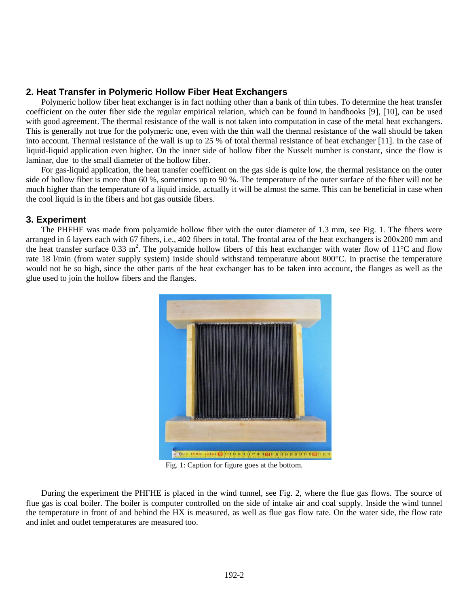# **2. Heat Transfer in Polymeric Hollow Fiber Heat Exchangers**

Polymeric hollow fiber heat exchanger is in fact nothing other than a bank of thin tubes. To determine the heat transfer coefficient on the outer fiber side the regular empirical relation, which can be found in handbooks [9], [10], can be used with good agreement. The thermal resistance of the wall is not taken into computation in case of the metal heat exchangers. This is generally not true for the polymeric one, even with the thin wall the thermal resistance of the wall should be taken into account. Thermal resistance of the wall is up to 25 % of total thermal resistance of heat exchanger [11]. In the case of liquid-liquid application even higher. On the inner side of hollow fiber the Nusselt number is constant, since the flow is laminar, due to the small diameter of the hollow fiber.

For gas-liquid application, the heat transfer coefficient on the gas side is quite low, the thermal resistance on the outer side of hollow fiber is more than 60 %, sometimes up to 90 %. The temperature of the outer surface of the fiber will not be much higher than the temperature of a liquid inside, actually it will be almost the same. This can be beneficial in case when the cool liquid is in the fibers and hot gas outside fibers.

## **3. Experiment**

The PHFHE was made from polyamide hollow fiber with the outer diameter of 1.3 mm, see Fig. 1. The fibers were arranged in 6 layers each with 67 fibers, i.e., 402 fibers in total. The frontal area of the heat exchangers is 200x200 mm and the heat transfer surface 0.33 m<sup>2</sup>. The polyamide hollow fibers of this heat exchanger with water flow of 11 $^{\circ}$ C and flow rate 18 l/min (from water supply system) inside should withstand temperature about 800°C. In practise the temperature would not be so high, since the other parts of the heat exchanger has to be taken into account, the flanges as well as the glue used to join the hollow fibers and the flanges.



Fig. 1: Caption for figure goes at the bottom.

During the experiment the PHFHE is placed in the wind tunnel, see Fig. 2, where the flue gas flows. The source of flue gas is coal boiler. The boiler is computer controlled on the side of intake air and coal supply. Inside the wind tunnel the temperature in front of and behind the HX is measured, as well as flue gas flow rate. On the water side, the flow rate and inlet and outlet temperatures are measured too.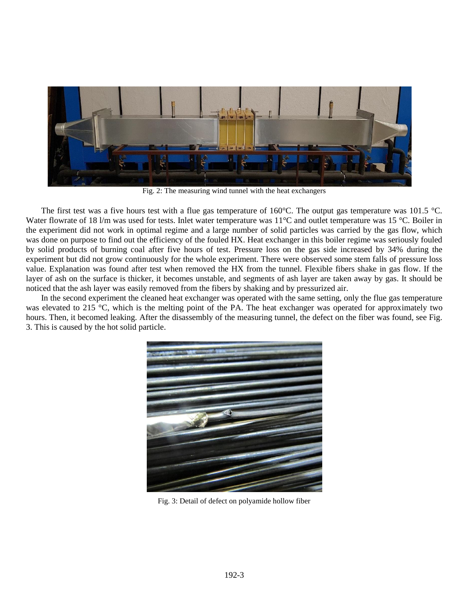

Fig. 2: The measuring wind tunnel with the heat exchangers

The first test was a five hours test with a flue gas temperature of  $160^{\circ}$ C. The output gas temperature was  $101.5^{\circ}$ C. Water flowrate of 18 l/m was used for tests. Inlet water temperature was  $11^{\circ}$ C and outlet temperature was 15  $^{\circ}$ C. Boiler in the experiment did not work in optimal regime and a large number of solid particles was carried by the gas flow, which was done on purpose to find out the efficiency of the fouled HX. Heat exchanger in this boiler regime was seriously fouled by solid products of burning coal after five hours of test. Pressure loss on the gas side increased by 34% during the experiment but did not grow continuously for the whole experiment. There were observed some stem falls of pressure loss value. Explanation was found after test when removed the HX from the tunnel. Flexible fibers shake in gas flow. If the layer of ash on the surface is thicker, it becomes unstable, and segments of ash layer are taken away by gas. It should be noticed that the ash layer was easily removed from the fibers by shaking and by pressurized air.

In the second experiment the cleaned heat exchanger was operated with the same setting, only the flue gas temperature was elevated to 215 °C, which is the melting point of the PA. The heat exchanger was operated for approximately two hours. Then, it becomed leaking. After the disassembly of the measuring tunnel, the defect on the fiber was found, see Fig. 3. This is caused by the hot solid particle.



Fig. 3: Detail of defect on polyamide hollow fiber